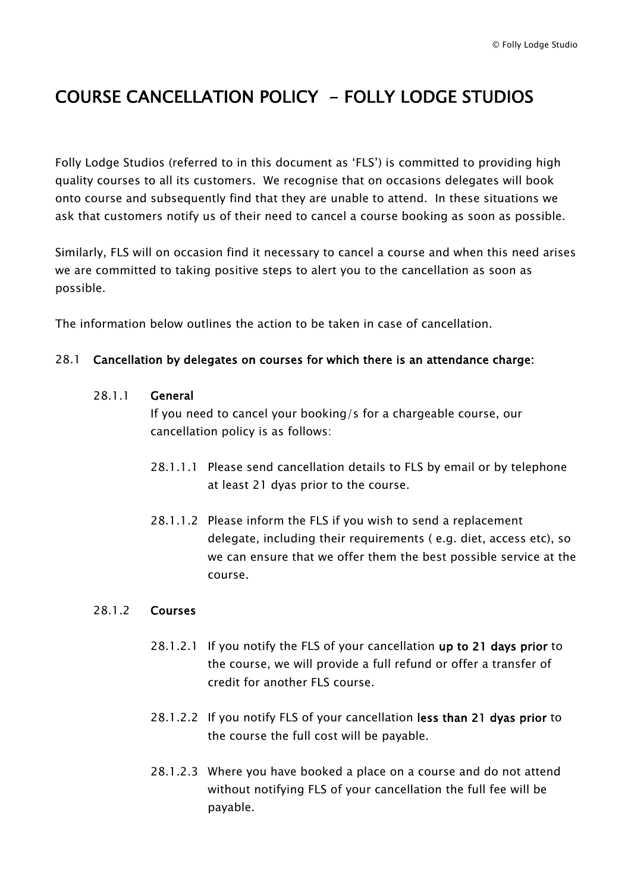# COURSE CANCELLATION POLICY - FOLLY LODGE STUDIOS

Folly Lodge Studios (referred to in this document as 'FLS') is committed to providing high quality courses to all its customers. We recognise that on occasions delegates will book onto course and subsequently find that they are unable to attend. In these situations we ask that customers notify us of their need to cancel a course booking as soon as possible.

Similarly, FLS will on occasion find it necessary to cancel a course and when this need arises we are committed to taking positive steps to alert you to the cancellation as soon as possible.

The information below outlines the action to be taken in case of cancellation.

# 28.1 Cancellation by delegates on courses for which there is an attendance charge:

### 28.1.1 General

If you need to cancel your booking/s for a chargeable course, our cancellation policy is as follows:

- 28.1.1.1 Please send cancellation details to FLS by email or by telephone at least 21 dyas prior to the course.
- 28.1.1.2 Please inform the FLS if you wish to send a replacement delegate, including their requirements ( e.g. diet, access etc), so we can ensure that we offer them the best possible service at the course.

### 28.1.2 Courses

- 28.1.2.1 If you notify the FLS of your cancellation up to 21 days prior to the course, we will provide a full refund or offer a transfer of credit for another FLS course.
- 28.1.2.2 If you notify FLS of your cancellation less than 21 dyas prior to the course the full cost will be payable.
- 28.1.2.3 Where you have booked a place on a course and do not attend without notifying FLS of your cancellation the full fee will be payable.